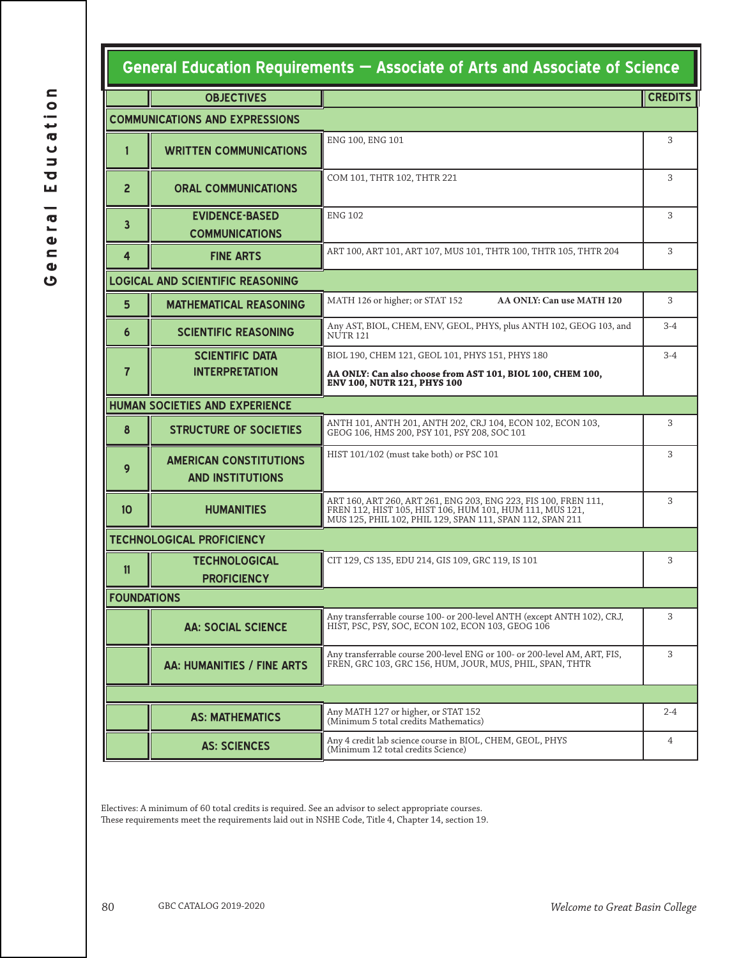## **General Education Requirements — Associate of Arts and Associate of Science**

|                                       | <b>OBJECTIVES</b>                                        |                                                                                                                                                                                          | <b>CREDITS</b> |  |  |  |
|---------------------------------------|----------------------------------------------------------|------------------------------------------------------------------------------------------------------------------------------------------------------------------------------------------|----------------|--|--|--|
| <b>COMMUNICATIONS AND EXPRESSIONS</b> |                                                          |                                                                                                                                                                                          |                |  |  |  |
| 1                                     | <b>WRITTEN COMMUNICATIONS</b>                            | ENG 100, ENG 101                                                                                                                                                                         |                |  |  |  |
| $\overline{2}$                        | <b>ORAL COMMUNICATIONS</b>                               | COM 101, THTR 102, THTR 221                                                                                                                                                              |                |  |  |  |
| 3                                     | <b>EVIDENCE-BASED</b><br><b>COMMUNICATIONS</b>           | <b>ENG 102</b>                                                                                                                                                                           |                |  |  |  |
| 4                                     | <b>FINE ARTS</b>                                         | ART 100, ART 101, ART 107, MUS 101, THTR 100, THTR 105, THTR 204                                                                                                                         | 3              |  |  |  |
|                                       | <b>LOGICAL AND SCIENTIFIC REASONING</b>                  |                                                                                                                                                                                          |                |  |  |  |
| 5                                     | <b>MATHEMATICAL REASONING</b>                            | MATH 126 or higher; or STAT 152<br>AA ONLY: Can use MATH 120                                                                                                                             |                |  |  |  |
| 6                                     | <b>SCIENTIFIC REASONING</b>                              | Any AST, BIOL, CHEM, ENV, GEOL, PHYS, plus ANTH 102, GEOG 103, and<br>NUTR 121                                                                                                           |                |  |  |  |
|                                       | <b>SCIENTIFIC DATA</b><br><b>INTERPRETATION</b>          | BIOL 190, CHEM 121, GEOL 101, PHYS 151, PHYS 180                                                                                                                                         | $3-4$          |  |  |  |
| 7                                     |                                                          | AA ONLY: Can also choose from AST 101, BIOL 100, CHEM 100,<br>ENV 100, NUTR 121, PHYS 100                                                                                                |                |  |  |  |
|                                       | <b>HUMAN SOCIETIES AND EXPERIENCE</b>                    |                                                                                                                                                                                          |                |  |  |  |
| 8                                     | <b>STRUCTURE OF SOCIETIES</b>                            | ANTH 101, ANTH 201, ANTH 202, CRJ 104, ECON 102, ECON 103,<br>GEOG 106, HMS 200, PSY 101, PSY 208, SOC 101                                                                               |                |  |  |  |
| 9                                     | <b>AMERICAN CONSTITUTIONS</b><br><b>AND INSTITUTIONS</b> | HIST 101/102 (must take both) or PSC 101                                                                                                                                                 |                |  |  |  |
| 10                                    | <b>HUMANITIES</b>                                        | ART 160, ART 260, ART 261, ENG 203, ENG 223, FIS 100, FREN 111,<br>FREN 112, HIST 105, HIST 106, HUM 101, HUM 111, MUS 121,<br>MUS 125, PHIL 102, PHIL 129, SPAN 111, SPAN 112, SPAN 211 |                |  |  |  |
| <b>TECHNOLOGICAL PROFICIENCY</b>      |                                                          |                                                                                                                                                                                          |                |  |  |  |
| 11                                    | <b>TECHNOLOGICAL</b><br><b>PROFICIENCY</b>               | CIT 129, CS 135, EDU 214, GIS 109, GRC 119, IS 101                                                                                                                                       |                |  |  |  |
|                                       | <b>FOUNDATIONS</b>                                       |                                                                                                                                                                                          |                |  |  |  |
|                                       | <b>AA: SOCIAL SCIENCE</b>                                | Any transferrable course 100- or 200-level ANTH (except ANTH 102), CRJ,<br>HIŚT, PSC, PSY, SOC, ECON 102, ECON 103, GEOG 106                                                             | 3              |  |  |  |
|                                       | AA: HUMANITIES / FINE ARTS                               | Any transferrable course 200-level ENG or 100- or 200-level AM, ART, FIS,<br>FREN, GRC 103, GRC 156, HUM, JOUR, MUS, PHIL, SPAN, THTR                                                    | 3              |  |  |  |
|                                       |                                                          |                                                                                                                                                                                          |                |  |  |  |
|                                       | <b>AS: MATHEMATICS</b>                                   | Any MATH 127 or higher, or STAT 152<br>(Minimum 5 total credits Mathematics)                                                                                                             | $2 - 4$        |  |  |  |
|                                       | <b>AS: SCIENCES</b>                                      | Any 4 credit lab science course in BIOL, CHEM, GEOL, PHYS<br>(Minimum 12 total credits Science)                                                                                          | 4              |  |  |  |

Electives: A minimum of 60 total credits is required. See an advisor to select appropriate courses. These requirements meet the requirements laid out in NSHE Code, Title 4, Chapter 14, section 19.

I